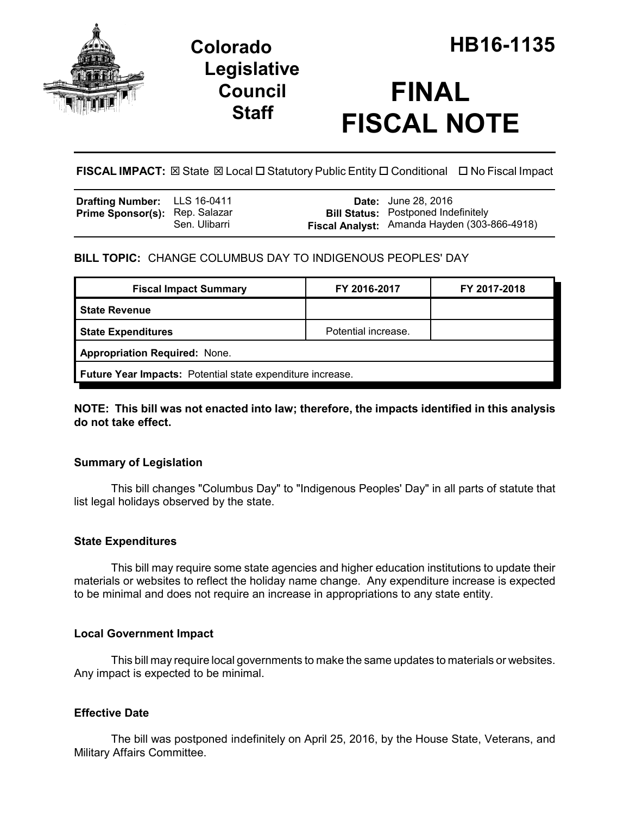

## **Legislative Council Staff**

# **FINAL FISCAL NOTE**

**FISCAL IMPACT:** ⊠ State ⊠ Local □ Statutory Public Entity □ Conditional □ No Fiscal Impact

| <b>Drafting Number:</b> LLS 16-0411   |               | <b>Date:</b> June 28, 2016                   |
|---------------------------------------|---------------|----------------------------------------------|
| <b>Prime Sponsor(s): Rep. Salazar</b> |               | <b>Bill Status:</b> Postponed Indefinitely   |
|                                       | Sen. Ulibarri | Fiscal Analyst: Amanda Hayden (303-866-4918) |

#### **BILL TOPIC:** CHANGE COLUMBUS DAY TO INDIGENOUS PEOPLES' DAY

| <b>Fiscal Impact Summary</b>                               | FY 2016-2017        | FY 2017-2018 |  |  |  |
|------------------------------------------------------------|---------------------|--------------|--|--|--|
| l State Revenue                                            |                     |              |  |  |  |
| <b>State Expenditures</b>                                  | Potential increase. |              |  |  |  |
| <b>Appropriation Required: None.</b>                       |                     |              |  |  |  |
| Future Year Impacts: Potential state expenditure increase. |                     |              |  |  |  |

**NOTE: This bill was not enacted into law; therefore, the impacts identified in this analysis do not take effect.**

#### **Summary of Legislation**

This bill changes "Columbus Day" to "Indigenous Peoples' Day" in all parts of statute that list legal holidays observed by the state.

#### **State Expenditures**

This bill may require some state agencies and higher education institutions to update their materials or websites to reflect the holiday name change. Any expenditure increase is expected to be minimal and does not require an increase in appropriations to any state entity.

#### **Local Government Impact**

This bill may require local governments to make the same updates to materials or websites. Any impact is expected to be minimal.

#### **Effective Date**

The bill was postponed indefinitely on April 25, 2016, by the House State, Veterans, and Military Affairs Committee.